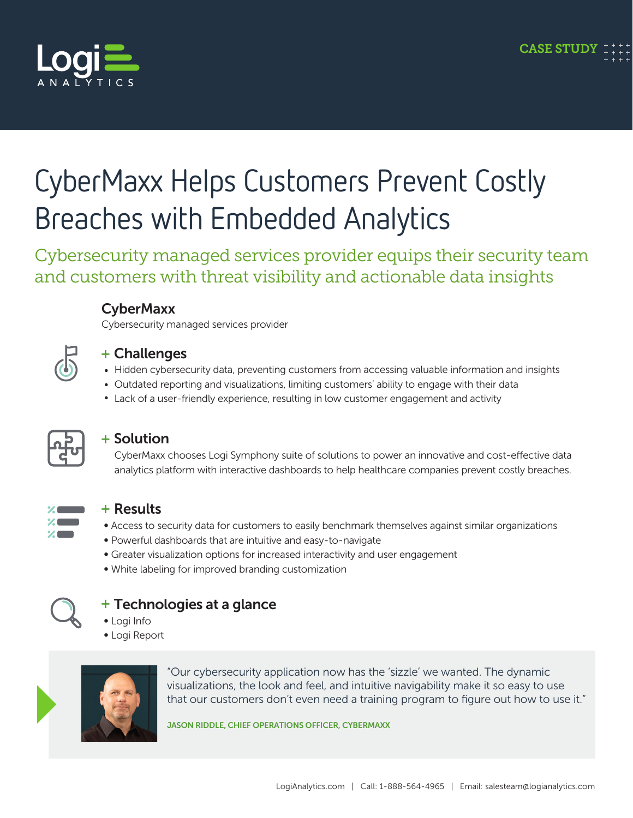

# CyberMaxx Helps Customers Prevent Costly Breaches with Embedded Analytics

Cybersecurity managed services provider equips their security team and customers with threat visibility and actionable data insights



#### **CyberMaxx** Cybersecurity managed services provider

#### + Challenges

- Hidden cybersecurity data, preventing customers from accessing valuable information and insights
- Outdated reporting and visualizations, limiting customers' ability to engage with their data
- Lack of a user-friendly experience, resulting in low customer engagement and activity



### + Solution

CyberMaxx chooses Logi Symphony suite of solutions to power an innovative and cost-effective data analytics platform with interactive dashboards to help healthcare companies prevent costly breaches.



### + Results

- Access to security data for customers to easily benchmark themselves against similar organizations
- Powerful dashboards that are intuitive and easy-to-navigate
- Greater visualization options for increased interactivity and user engagement
- ∞ White labeling for improved branding customization



### + Technologies at a glance

- ∞ Logi Info
- ∞ Logi Report



"Our cybersecurity application now has the 'sizzle' we wanted. The dynamic visualizations, the look and feel, and intuitive navigability make it so easy to use that our customers don't even need a training program to figure out how to use it."

JASON RIDDLE, CHIEF OPERATIONS OFFICER, CYBERMAXX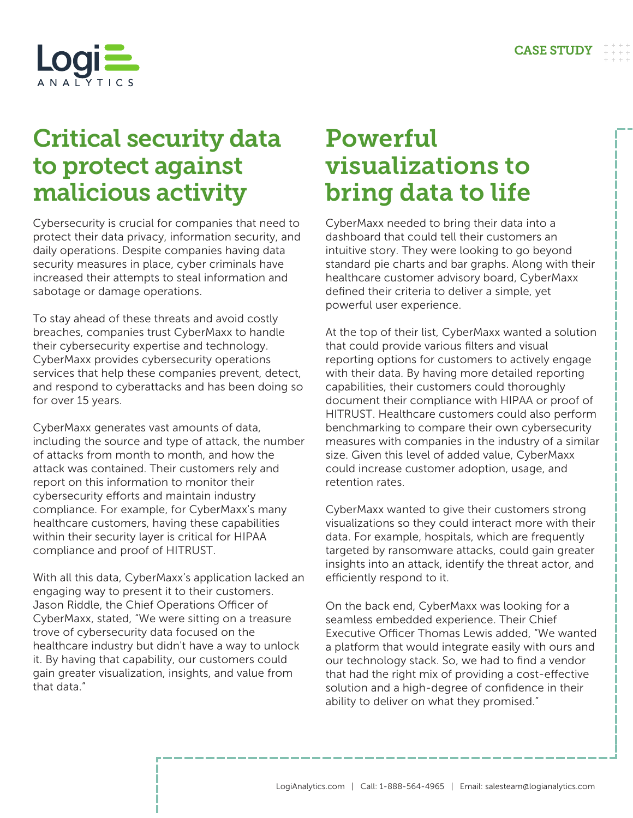

## Critical security data to protect against malicious activity

Cybersecurity is crucial for companies that need to protect their data privacy, information security, and daily operations. Despite companies having data security measures in place, cyber criminals have increased their attempts to steal information and sabotage or damage operations.

To stay ahead of these threats and avoid costly breaches, companies trust CyberMaxx to handle their cybersecurity expertise and technology. CyberMaxx provides cybersecurity operations services that help these companies prevent, detect, and respond to cyberattacks and has been doing so for over 15 years.

CyberMaxx generates vast amounts of data, including the source and type of attack, the number of attacks from month to month, and how the attack was contained. Their customers rely and report on this information to monitor their cybersecurity efforts and maintain industry compliance. For example, for CyberMaxx's many healthcare customers, having these capabilities within their security layer is critical for HIPAA compliance and proof of HITRUST.

With all this data, CyberMaxx's application lacked an engaging way to present it to their customers. Jason Riddle, the Chief Operations Officer of CyberMaxx, stated, "We were sitting on a treasure trove of cybersecurity data focused on the healthcare industry but didn't have a way to unlock it. By having that capability, our customers could gain greater visualization, insights, and value from that data."

## Powerful visualizations to bring data to life

CyberMaxx needed to bring their data into a dashboard that could tell their customers an intuitive story. They were looking to go beyond standard pie charts and bar graphs. Along with their healthcare customer advisory board, CyberMaxx defined their criteria to deliver a simple, yet powerful user experience.

At the top of their list, CyberMaxx wanted a solution that could provide various filters and visual reporting options for customers to actively engage with their data. By having more detailed reporting capabilities, their customers could thoroughly document their compliance with HIPAA or proof of HITRUST. Healthcare customers could also perform benchmarking to compare their own cybersecurity measures with companies in the industry of a similar size. Given this level of added value, CyberMaxx could increase customer adoption, usage, and retention rates.

CyberMaxx wanted to give their customers strong visualizations so they could interact more with their data. For example, hospitals, which are frequently targeted by ransomware attacks, could gain greater insights into an attack, identify the threat actor, and efficiently respond to it.

On the back end, CyberMaxx was looking for a seamless embedded experience. Their Chief Executive Officer Thomas Lewis added, "We wanted a platform that would integrate easily with ours and our technology stack. So, we had to find a vendor that had the right mix of providing a cost-effective solution and a high-degree of confidence in their ability to deliver on what they promised."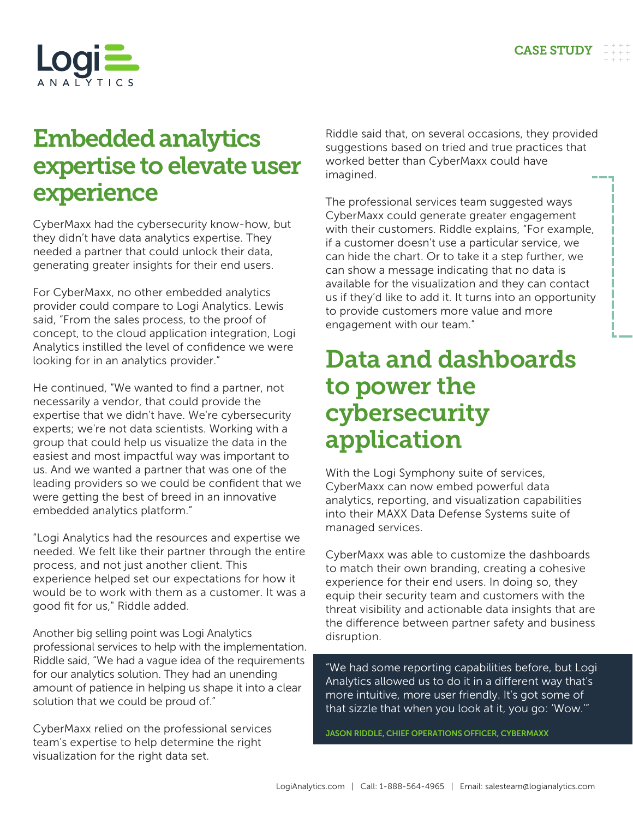

## Embedded analytics expertise to elevate user experience

CyberMaxx had the cybersecurity know-how, but they didn't have data analytics expertise. They needed a partner that could unlock their data, generating greater insights for their end users.

For CyberMaxx, no other embedded analytics provider could compare to Logi Analytics. Lewis said, "From the sales process, to the proof of concept, to the cloud application integration, Logi Analytics instilled the level of confidence we were looking for in an analytics provider."

He continued, "We wanted to find a partner, not necessarily a vendor, that could provide the expertise that we didn't have. We're cybersecurity experts; we're not data scientists. Working with a group that could help us visualize the data in the easiest and most impactful way was important to us. And we wanted a partner that was one of the leading providers so we could be confident that we were getting the best of breed in an innovative embedded analytics platform."

"Logi Analytics had the resources and expertise we needed. We felt like their partner through the entire process, and not just another client. This experience helped set our expectations for how it would be to work with them as a customer. It was a good fit for us," Riddle added.

Another big selling point was Logi Analytics professional services to help with the implementation. Riddle said, "We had a vague idea of the requirements for our analytics solution. They had an unending amount of patience in helping us shape it into a clear solution that we could be proud of."

CyberMaxx relied on the professional services team's expertise to help determine the right visualization for the right data set.

Riddle said that, on several occasions, they provided suggestions based on tried and true practices that worked better than CyberMaxx could have imagined.

The professional services team suggested ways CyberMaxx could generate greater engagement with their customers. Riddle explains, "For example, if a customer doesn't use a particular service, we can hide the chart. Or to take it a step further, we can show a message indicating that no data is available for the visualization and they can contact us if they'd like to add it. It turns into an opportunity to provide customers more value and more engagement with our team."

## Data and dashboards to power the cybersecurity application

With the Logi Symphony suite of services, CyberMaxx can now embed powerful data analytics, reporting, and visualization capabilities into their MAXX Data Defense Systems suite of managed services.

CyberMaxx was able to customize the dashboards to match their own branding, creating a cohesive experience for their end users. In doing so, they equip their security team and customers with the threat visibility and actionable data insights that are the difference between partner safety and business disruption.

"We had some reporting capabilities before, but Logi Analytics allowed us to do it in a different way that's more intuitive, more user friendly. It's got some of that sizzle that when you look at it, you go: 'Wow.'"

JASON RIDDLE, CHIEF OPERATIONS OFFICER, CYBERMAXX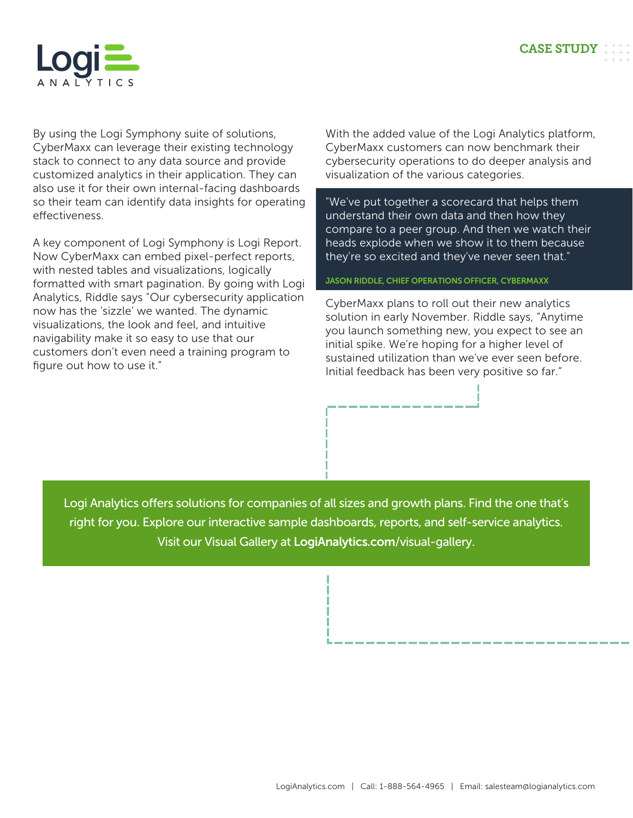

By using the Logi Symphony suite of solutions, CyberMaxx can leverage their existing technology stack to connect to any data source and provide customized analytics in their application. They can also use it for their own internal-facing dashboards so their team can identify data insights for operating effectiveness.

A key component of Logi Symphony is Logi Report. Now CyberMaxx can embed pixel-perfect reports, with nested tables and visualizations, logically formatted with smart pagination. By going with Logi Analytics, Riddle says "Our cybersecurity application now has the 'sizzle' we wanted. The dynamic visualizations, the look and feel, and intuitive navigability make it so easy to use that our customers don't even need a training program to figure out how to use it."

With the added value of the Logi Analytics platform, CyberMaxx customers can now benchmark their cybersecurity operations to do deeper analysis and visualization of the various categories.

"We've put together a scorecard that helps them understand their own data and then how they compare to a peer group. And then we watch their heads explode when we show it to them because they're so excited and they've never seen that."

JASON RIDDLE, CHIEF OPERATIONS OFFICER, CYBERMAXX

CyberMaxx plans to roll out their new analytics solution in early November. Riddle says, "Anytime you launch something new, you expect to see an initial spike. We're hoping for a higher level of sustained utilization than we've ever seen before. Initial feedback has been very positive so far."

Logi Analytics offers solutions for companies of all sizes and growth plans. Find the one that's right for you. Explore our interactive sample dashboards, reports, and self-service analytics. Visit our Visual Gallery at [LogiAnalytics.com](https://www.logianalytics.com/logi-composer-visual-gallery/)/visual-gallery.